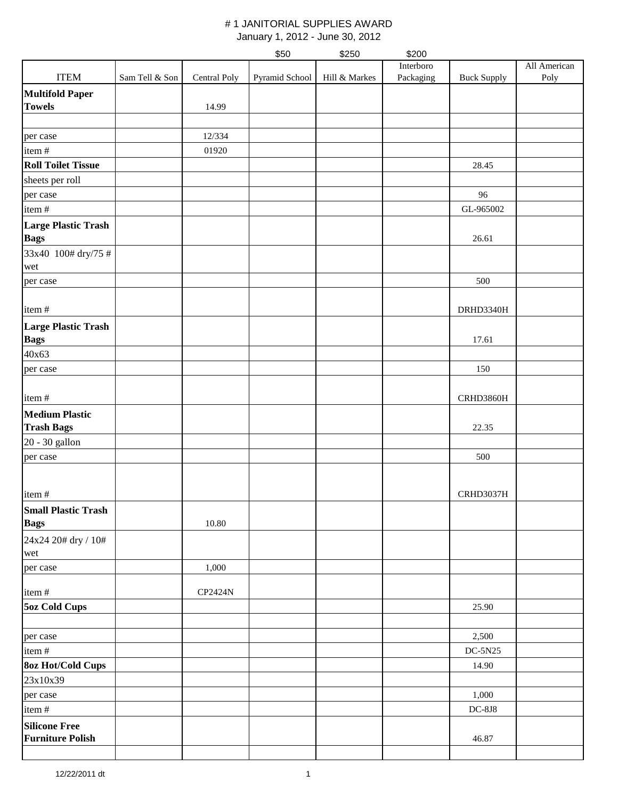|                                           |                |              | \$50           | \$250         | \$200     |                    |              |
|-------------------------------------------|----------------|--------------|----------------|---------------|-----------|--------------------|--------------|
|                                           |                |              |                |               | Interboro |                    | All American |
| <b>ITEM</b>                               | Sam Tell & Son | Central Poly | Pyramid School | Hill & Markes | Packaging | <b>Buck Supply</b> | Poly         |
| <b>Multifold Paper</b>                    |                |              |                |               |           |                    |              |
| <b>Towels</b>                             |                | 14.99        |                |               |           |                    |              |
|                                           |                |              |                |               |           |                    |              |
| per case                                  |                | 12/334       |                |               |           |                    |              |
| item#                                     |                | 01920        |                |               |           |                    |              |
| <b>Roll Toilet Tissue</b>                 |                |              |                |               |           | 28.45              |              |
| sheets per roll                           |                |              |                |               |           |                    |              |
| per case                                  |                |              |                |               |           | 96                 |              |
| item#                                     |                |              |                |               |           | GL-965002          |              |
| <b>Large Plastic Trash</b><br><b>Bags</b> |                |              |                |               |           | 26.61              |              |
| 33x40 100# dry/75 #                       |                |              |                |               |           |                    |              |
| wet                                       |                |              |                |               |           |                    |              |
| per case                                  |                |              |                |               |           | 500                |              |
|                                           |                |              |                |               |           |                    |              |
| item#                                     |                |              |                |               |           | DRHD3340H          |              |
| <b>Large Plastic Trash</b>                |                |              |                |               |           |                    |              |
| <b>Bags</b>                               |                |              |                |               |           | 17.61              |              |
| 40x63                                     |                |              |                |               |           |                    |              |
| per case                                  |                |              |                |               |           | 150                |              |
| item#                                     |                |              |                |               |           | CRHD3860H          |              |
| <b>Medium Plastic</b>                     |                |              |                |               |           |                    |              |
| <b>Trash Bags</b>                         |                |              |                |               |           | 22.35              |              |
| 20 - 30 gallon                            |                |              |                |               |           |                    |              |
| per case                                  |                |              |                |               |           | 500                |              |
|                                           |                |              |                |               |           |                    |              |
|                                           |                |              |                |               |           |                    |              |
| item#                                     |                |              |                |               |           | CRHD3037H          |              |
| <b>Small Plastic Trash</b>                |                |              |                |               |           |                    |              |
| <b>Bags</b>                               |                | 10.80        |                |               |           |                    |              |
| 24x24 20# dry / 10#<br>wet                |                |              |                |               |           |                    |              |
| per case                                  |                | 1,000        |                |               |           |                    |              |
|                                           |                |              |                |               |           |                    |              |
| item#                                     |                | CP2424N      |                |               |           |                    |              |
| <b>5oz Cold Cups</b>                      |                |              |                |               |           | 25.90              |              |
| per case                                  |                |              |                |               |           | 2,500              |              |
| item#                                     |                |              |                |               |           | $DC-5N25$          |              |
| <b>8oz Hot/Cold Cups</b>                  |                |              |                |               |           | 14.90              |              |
| 23x10x39                                  |                |              |                |               |           |                    |              |
| per case                                  |                |              |                |               |           | 1,000              |              |
| item#                                     |                |              |                |               |           | $DC-8J8$           |              |
| <b>Silicone Free</b>                      |                |              |                |               |           |                    |              |
| <b>Furniture Polish</b>                   |                |              |                |               |           | 46.87              |              |
|                                           |                |              |                |               |           |                    |              |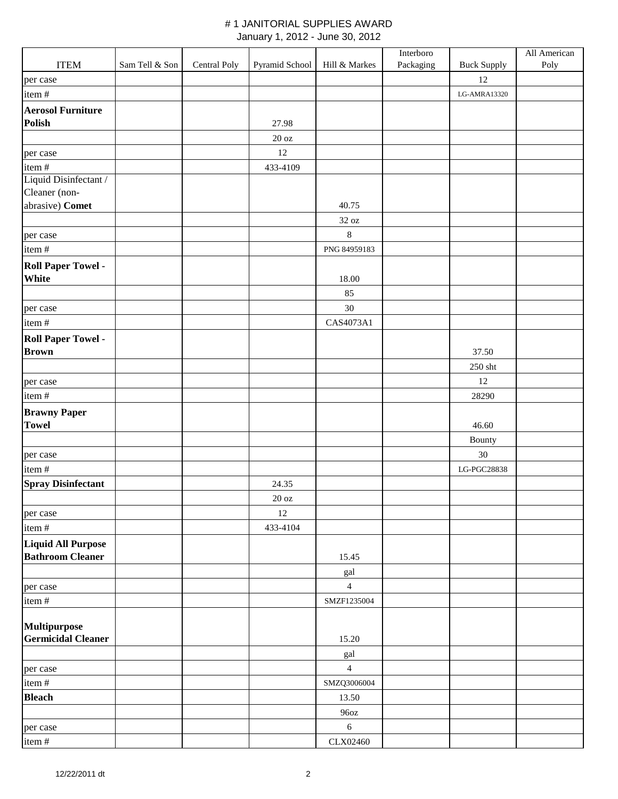|                           |                |              |                   |                | Interboro |                    | All American |
|---------------------------|----------------|--------------|-------------------|----------------|-----------|--------------------|--------------|
| <b>ITEM</b>               | Sam Tell & Son | Central Poly | Pyramid School    | Hill & Markes  | Packaging | <b>Buck Supply</b> | Poly         |
| per case                  |                |              |                   |                |           | 12                 |              |
| item#                     |                |              |                   |                |           | LG-AMRA13320       |              |
| <b>Aerosol Furniture</b>  |                |              |                   |                |           |                    |              |
| <b>Polish</b>             |                |              | 27.98             |                |           |                    |              |
|                           |                |              | $20\ \mathrm{oz}$ |                |           |                    |              |
| per case                  |                |              | 12                |                |           |                    |              |
| item#                     |                |              | 433-4109          |                |           |                    |              |
| Liquid Disinfectant /     |                |              |                   |                |           |                    |              |
| Cleaner (non-             |                |              |                   |                |           |                    |              |
| abrasive) Comet           |                |              |                   | 40.75          |           |                    |              |
|                           |                |              |                   | 32 oz          |           |                    |              |
| per case                  |                |              |                   | $\,8\,$        |           |                    |              |
| item#                     |                |              |                   | PNG 84959183   |           |                    |              |
| <b>Roll Paper Towel -</b> |                |              |                   |                |           |                    |              |
| White                     |                |              |                   | 18.00          |           |                    |              |
|                           |                |              |                   | 85             |           |                    |              |
| per case                  |                |              |                   | $30\,$         |           |                    |              |
| item#                     |                |              |                   | CAS4073A1      |           |                    |              |
| <b>Roll Paper Towel -</b> |                |              |                   |                |           |                    |              |
| <b>Brown</b>              |                |              |                   |                |           | 37.50              |              |
|                           |                |              |                   |                |           | $250\;{\rm sht}$   |              |
| per case                  |                |              |                   |                |           | 12                 |              |
| item#                     |                |              |                   |                |           | 28290              |              |
| <b>Brawny Paper</b>       |                |              |                   |                |           |                    |              |
| <b>Towel</b>              |                |              |                   |                |           | 46.60              |              |
|                           |                |              |                   |                |           | Bounty             |              |
| per case                  |                |              |                   |                |           | $30\,$             |              |
| item#                     |                |              |                   |                |           | LG-PGC28838        |              |
| <b>Spray Disinfectant</b> |                |              | 24.35             |                |           |                    |              |
|                           |                |              | $20\ \mathrm{oz}$ |                |           |                    |              |
| per case                  |                |              | 12                |                |           |                    |              |
| item#                     |                |              | 433-4104          |                |           |                    |              |
| <b>Liquid All Purpose</b> |                |              |                   |                |           |                    |              |
| <b>Bathroom Cleaner</b>   |                |              |                   | 15.45          |           |                    |              |
|                           |                |              |                   | gal            |           |                    |              |
| per case                  |                |              |                   | $\overline{4}$ |           |                    |              |
| item#                     |                |              |                   | SMZF1235004    |           |                    |              |
|                           |                |              |                   |                |           |                    |              |
| Multipurpose              |                |              |                   |                |           |                    |              |
| <b>Germicidal Cleaner</b> |                |              |                   | 15.20          |           |                    |              |
|                           |                |              |                   | gal            |           |                    |              |
| per case                  |                |              |                   | $\overline{4}$ |           |                    |              |
| item#                     |                |              |                   | SMZQ3006004    |           |                    |              |
| <b>Bleach</b>             |                |              |                   | 13.50          |           |                    |              |
|                           |                |              |                   | 96oz           |           |                    |              |
| per case                  |                |              |                   | 6              |           |                    |              |
| item#                     |                |              |                   | CLX02460       |           |                    |              |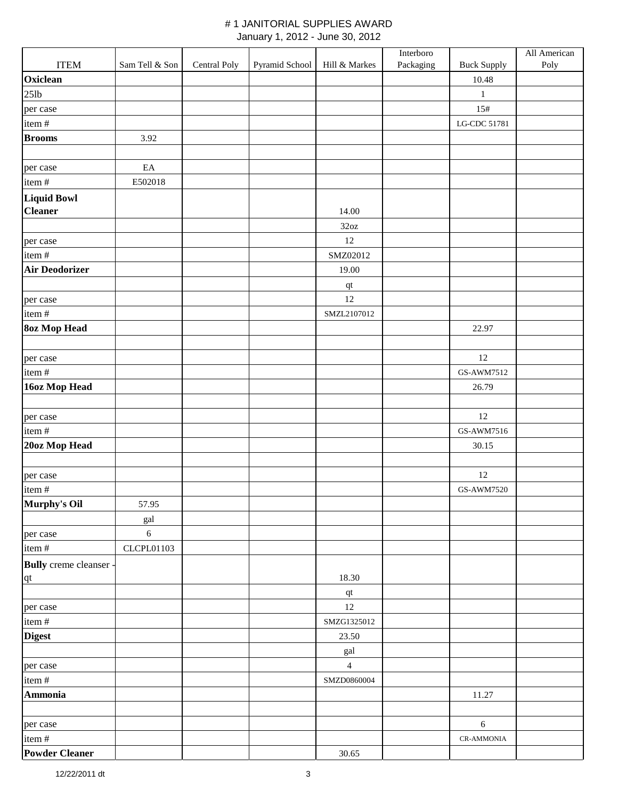|                               |                   |              |                |                        | Interboro |                    | All American |
|-------------------------------|-------------------|--------------|----------------|------------------------|-----------|--------------------|--------------|
| <b>ITEM</b>                   | Sam Tell & Son    | Central Poly | Pyramid School | Hill & Markes          | Packaging | <b>Buck Supply</b> | Poly         |
| Oxiclean                      |                   |              |                |                        |           | 10.48              |              |
| $25$ lb                       |                   |              |                |                        |           | $\mathbf{1}$       |              |
| per case                      |                   |              |                |                        |           | 15#                |              |
| item#                         |                   |              |                |                        |           | LG-CDC 51781       |              |
| <b>Brooms</b>                 | 3.92              |              |                |                        |           |                    |              |
|                               |                   |              |                |                        |           |                    |              |
| per case                      | $\rm EA$          |              |                |                        |           |                    |              |
| item#                         | E502018           |              |                |                        |           |                    |              |
| <b>Liquid Bowl</b>            |                   |              |                |                        |           |                    |              |
| <b>Cleaner</b>                |                   |              |                | 14.00                  |           |                    |              |
|                               |                   |              |                | 32oz                   |           |                    |              |
| per case                      |                   |              |                | 12                     |           |                    |              |
| item#                         |                   |              |                | SMZ02012               |           |                    |              |
| <b>Air Deodorizer</b>         |                   |              |                | 19.00                  |           |                    |              |
|                               |                   |              |                | $\mathbf{q}\mathbf{t}$ |           |                    |              |
| per case                      |                   |              |                | 12                     |           |                    |              |
| item#                         |                   |              |                | SMZL2107012            |           |                    |              |
| <b>8oz Mop Head</b>           |                   |              |                |                        |           | 22.97              |              |
|                               |                   |              |                |                        |           |                    |              |
| per case                      |                   |              |                |                        |           | 12                 |              |
| item#                         |                   |              |                |                        |           | GS-AWM7512         |              |
| 16oz Mop Head                 |                   |              |                |                        |           | 26.79              |              |
|                               |                   |              |                |                        |           |                    |              |
| per case                      |                   |              |                |                        |           | 12                 |              |
| item#                         |                   |              |                |                        |           | GS-AWM7516         |              |
| 20oz Mop Head                 |                   |              |                |                        |           | 30.15              |              |
|                               |                   |              |                |                        |           |                    |              |
| per case                      |                   |              |                |                        |           | 12                 |              |
| item#                         |                   |              |                |                        |           | GS-AWM7520         |              |
| Murphy's Oil                  | 57.95             |              |                |                        |           |                    |              |
|                               | gal               |              |                |                        |           |                    |              |
| per case                      | 6                 |              |                |                        |           |                    |              |
| item#                         | <b>CLCPL01103</b> |              |                |                        |           |                    |              |
| <b>Bully</b> creme cleanser - |                   |              |                |                        |           |                    |              |
| $q$ t                         |                   |              |                | 18.30                  |           |                    |              |
|                               |                   |              |                | qt                     |           |                    |              |
| per case                      |                   |              |                | 12                     |           |                    |              |
| item#                         |                   |              |                | SMZG1325012            |           |                    |              |
| <b>Digest</b>                 |                   |              |                | 23.50                  |           |                    |              |
|                               |                   |              |                | gal                    |           |                    |              |
| per case                      |                   |              |                | $\overline{4}$         |           |                    |              |
| item#                         |                   |              |                | SMZD0860004            |           |                    |              |
| Ammonia                       |                   |              |                |                        |           | 11.27              |              |
|                               |                   |              |                |                        |           |                    |              |
| per case                      |                   |              |                |                        |           | $6\,$              |              |
| item#                         |                   |              |                |                        |           | <b>CR-AMMONIA</b>  |              |
| <b>Powder Cleaner</b>         |                   |              |                | 30.65                  |           |                    |              |
|                               |                   |              |                |                        |           |                    |              |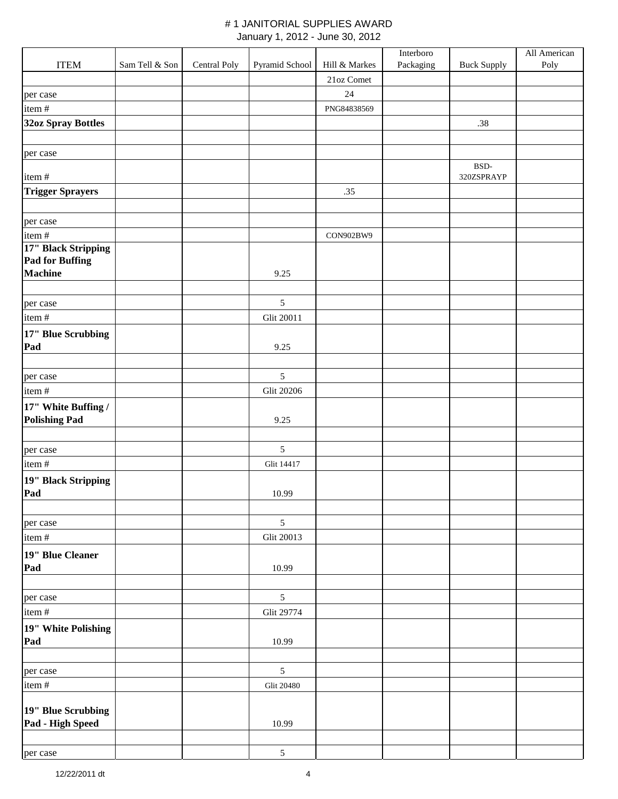|                                             |                |              |                   |               | Interboro |                    | All American |
|---------------------------------------------|----------------|--------------|-------------------|---------------|-----------|--------------------|--------------|
| <b>ITEM</b>                                 | Sam Tell & Son | Central Poly | Pyramid School    | Hill & Markes | Packaging | <b>Buck Supply</b> | Poly         |
|                                             |                |              |                   | 21oz Comet    |           |                    |              |
| per case                                    |                |              |                   | $24\,$        |           |                    |              |
| item#                                       |                |              |                   | PNG84838569   |           |                    |              |
| 32oz Spray Bottles                          |                |              |                   |               |           | .38                |              |
|                                             |                |              |                   |               |           |                    |              |
| per case                                    |                |              |                   |               |           |                    |              |
|                                             |                |              |                   |               |           | BSD-               |              |
| item#                                       |                |              |                   |               |           | 320ZSPRAYP         |              |
| <b>Trigger Sprayers</b>                     |                |              |                   | .35           |           |                    |              |
|                                             |                |              |                   |               |           |                    |              |
| per case                                    |                |              |                   |               |           |                    |              |
| item#                                       |                |              |                   | CON902BW9     |           |                    |              |
| 17" Black Stripping                         |                |              |                   |               |           |                    |              |
| <b>Pad for Buffing</b><br><b>Machine</b>    |                |              | 9.25              |               |           |                    |              |
|                                             |                |              |                   |               |           |                    |              |
| per case                                    |                |              | $\sqrt{5}$        |               |           |                    |              |
| item#                                       |                |              | Glit 20011        |               |           |                    |              |
|                                             |                |              |                   |               |           |                    |              |
| 17" Blue Scrubbing<br>Pad                   |                |              | 9.25              |               |           |                    |              |
|                                             |                |              |                   |               |           |                    |              |
| per case                                    |                |              | $\mathfrak{S}$    |               |           |                    |              |
| item#                                       |                |              | <b>Glit 20206</b> |               |           |                    |              |
|                                             |                |              |                   |               |           |                    |              |
| 17" White Buffing /<br><b>Polishing Pad</b> |                |              | 9.25              |               |           |                    |              |
|                                             |                |              |                   |               |           |                    |              |
| per case                                    |                |              | $\sqrt{5}$        |               |           |                    |              |
| item#                                       |                |              | Glit 14417        |               |           |                    |              |
|                                             |                |              |                   |               |           |                    |              |
| 19" Black Stripping<br>Pad                  |                |              | 10.99             |               |           |                    |              |
|                                             |                |              |                   |               |           |                    |              |
| per case                                    |                |              | 5                 |               |           |                    |              |
| item#                                       |                |              | <b>Glit 20013</b> |               |           |                    |              |
|                                             |                |              |                   |               |           |                    |              |
| 19" Blue Cleaner<br>Pad                     |                |              | 10.99             |               |           |                    |              |
|                                             |                |              |                   |               |           |                    |              |
| per case                                    |                |              | $\mathfrak s$     |               |           |                    |              |
| item#                                       |                |              | Glit 29774        |               |           |                    |              |
|                                             |                |              |                   |               |           |                    |              |
| 19" White Polishing<br>Pad                  |                |              | 10.99             |               |           |                    |              |
|                                             |                |              |                   |               |           |                    |              |
| per case                                    |                |              | $\sqrt{5}$        |               |           |                    |              |
| item#                                       |                |              | <b>Glit 20480</b> |               |           |                    |              |
|                                             |                |              |                   |               |           |                    |              |
| 19" Blue Scrubbing                          |                |              |                   |               |           |                    |              |
| Pad - High Speed                            |                |              | 10.99             |               |           |                    |              |
|                                             |                |              |                   |               |           |                    |              |
| per case                                    |                |              | $\mathfrak{S}$    |               |           |                    |              |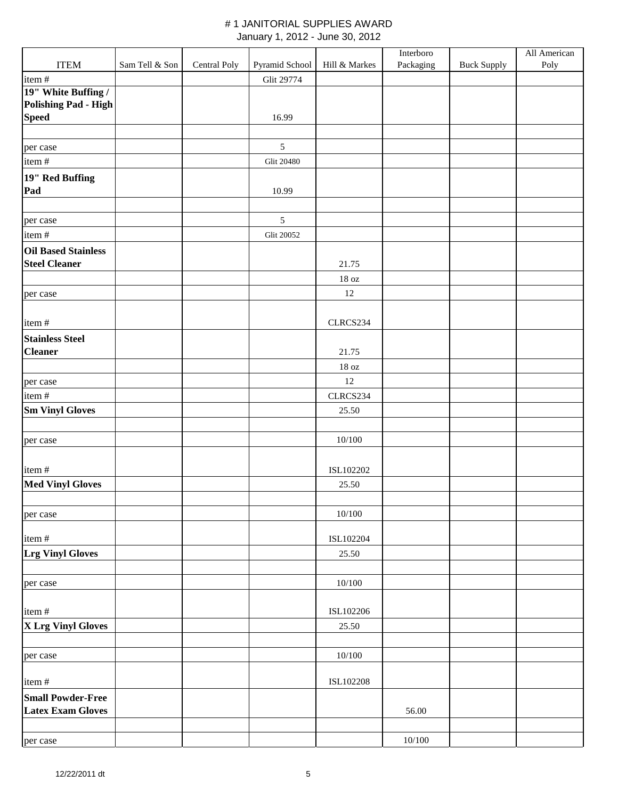|                                                      |                |              |                   |                   | Interboro |                    | All American |
|------------------------------------------------------|----------------|--------------|-------------------|-------------------|-----------|--------------------|--------------|
| <b>ITEM</b>                                          | Sam Tell & Son | Central Poly | Pyramid School    | Hill & Markes     | Packaging | <b>Buck Supply</b> | Poly         |
| item#                                                |                |              | Glit 29774        |                   |           |                    |              |
| 19" White Buffing /                                  |                |              |                   |                   |           |                    |              |
| <b>Polishing Pad - High</b><br><b>Speed</b>          |                |              | 16.99             |                   |           |                    |              |
|                                                      |                |              |                   |                   |           |                    |              |
| per case                                             |                |              | $\sqrt{5}$        |                   |           |                    |              |
| item#                                                |                |              | <b>Glit 20480</b> |                   |           |                    |              |
|                                                      |                |              |                   |                   |           |                    |              |
| 19" Red Buffing<br>Pad                               |                |              | 10.99             |                   |           |                    |              |
|                                                      |                |              |                   |                   |           |                    |              |
| per case                                             |                |              | $\sqrt{5}$        |                   |           |                    |              |
| item#                                                |                |              | <b>Glit 20052</b> |                   |           |                    |              |
| <b>Oil Based Stainless</b>                           |                |              |                   |                   |           |                    |              |
| <b>Steel Cleaner</b>                                 |                |              |                   | 21.75             |           |                    |              |
|                                                      |                |              |                   | $18\ \mathrm{oz}$ |           |                    |              |
| per case                                             |                |              |                   | 12                |           |                    |              |
|                                                      |                |              |                   |                   |           |                    |              |
| item#                                                |                |              |                   | CLRCS234          |           |                    |              |
| <b>Stainless Steel</b>                               |                |              |                   |                   |           |                    |              |
| <b>Cleaner</b>                                       |                |              |                   | 21.75             |           |                    |              |
|                                                      |                |              |                   | 18 oz             |           |                    |              |
| per case                                             |                |              |                   | 12                |           |                    |              |
| item#                                                |                |              |                   | CLRCS234          |           |                    |              |
| <b>Sm Vinyl Gloves</b>                               |                |              |                   | 25.50             |           |                    |              |
|                                                      |                |              |                   |                   |           |                    |              |
| per case                                             |                |              |                   | 10/100            |           |                    |              |
|                                                      |                |              |                   |                   |           |                    |              |
| item#                                                |                |              |                   | ISL102202         |           |                    |              |
| <b>Med Vinyl Gloves</b>                              |                |              |                   | 25.50             |           |                    |              |
|                                                      |                |              |                   |                   |           |                    |              |
| per case                                             |                |              |                   | 10/100            |           |                    |              |
|                                                      |                |              |                   |                   |           |                    |              |
| item#                                                |                |              |                   | ISL102204         |           |                    |              |
| <b>Lrg Vinyl Gloves</b>                              |                |              |                   | 25.50             |           |                    |              |
|                                                      |                |              |                   |                   |           |                    |              |
| per case                                             |                |              |                   | 10/100            |           |                    |              |
|                                                      |                |              |                   |                   |           |                    |              |
| item#                                                |                |              |                   | ISL102206         |           |                    |              |
| X Lrg Vinyl Gloves                                   |                |              |                   | 25.50             |           |                    |              |
|                                                      |                |              |                   |                   |           |                    |              |
| per case                                             |                |              |                   | 10/100            |           |                    |              |
|                                                      |                |              |                   |                   |           |                    |              |
| item#                                                |                |              |                   | ISL102208         |           |                    |              |
| <b>Small Powder-Free</b><br><b>Latex Exam Gloves</b> |                |              |                   |                   |           |                    |              |
|                                                      |                |              |                   |                   | 56.00     |                    |              |
|                                                      |                |              |                   |                   | 10/100    |                    |              |
| per case                                             |                |              |                   |                   |           |                    |              |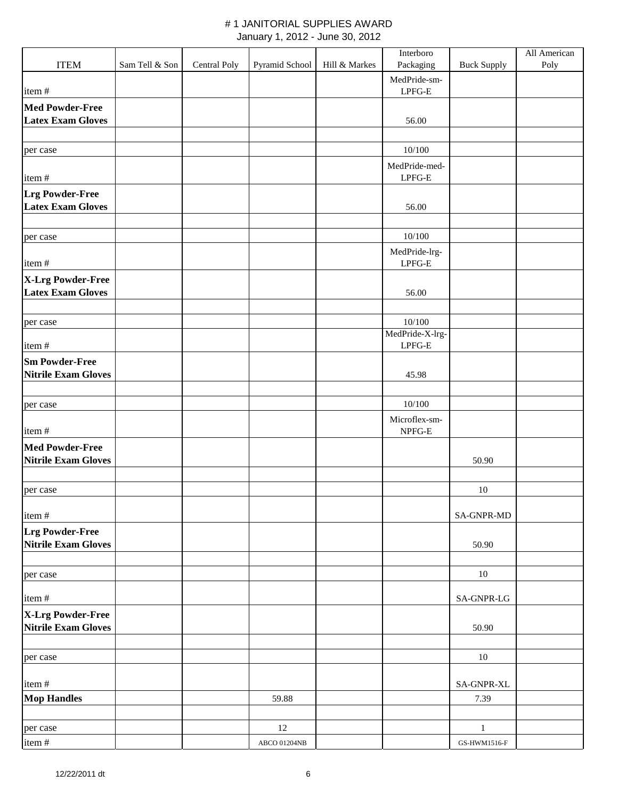|                                                 |                |              |                      |               | Interboro                 |                    | All American |
|-------------------------------------------------|----------------|--------------|----------------------|---------------|---------------------------|--------------------|--------------|
| <b>ITEM</b>                                     | Sam Tell & Son | Central Poly | Pyramid School       | Hill & Markes | Packaging                 | <b>Buck Supply</b> | Poly         |
|                                                 |                |              |                      |               | MedPride-sm-              |                    |              |
| item#                                           |                |              |                      |               | $LPFG-E$                  |                    |              |
| <b>Med Powder-Free</b>                          |                |              |                      |               |                           |                    |              |
| <b>Latex Exam Gloves</b>                        |                |              |                      |               | 56.00                     |                    |              |
|                                                 |                |              |                      |               |                           |                    |              |
| per case                                        |                |              |                      |               | 10/100                    |                    |              |
| item#                                           |                |              |                      |               | MedPride-med-<br>LPFG-E   |                    |              |
| <b>Lrg Powder-Free</b>                          |                |              |                      |               |                           |                    |              |
| <b>Latex Exam Gloves</b>                        |                |              |                      |               | 56.00                     |                    |              |
| per case                                        |                |              |                      |               | 10/100                    |                    |              |
| item#                                           |                |              |                      |               | MedPride-lrg-<br>$LPFG-E$ |                    |              |
| X-Lrg Powder-Free                               |                |              |                      |               |                           |                    |              |
| <b>Latex Exam Gloves</b>                        |                |              |                      |               | 56.00                     |                    |              |
|                                                 |                |              |                      |               | 10/100                    |                    |              |
| per case                                        |                |              |                      |               | MedPride-X-lrg-           |                    |              |
| item#                                           |                |              |                      |               | $LPFG-E$                  |                    |              |
| <b>Sm Powder-Free</b>                           |                |              |                      |               |                           |                    |              |
| <b>Nitrile Exam Gloves</b>                      |                |              |                      |               | 45.98                     |                    |              |
|                                                 |                |              |                      |               |                           |                    |              |
| per case                                        |                |              |                      |               | 10/100                    |                    |              |
|                                                 |                |              |                      |               | Microflex-sm-             |                    |              |
| item#                                           |                |              |                      |               | NPFG-E                    |                    |              |
| <b>Med Powder-Free</b>                          |                |              |                      |               |                           |                    |              |
| <b>Nitrile Exam Gloves</b>                      |                |              |                      |               |                           | 50.90              |              |
|                                                 |                |              |                      |               |                           |                    |              |
| per case                                        |                |              |                      |               |                           | 10                 |              |
| item#                                           |                |              |                      |               |                           | <b>SA-GNPR-MD</b>  |              |
| <b>Lrg Powder-Free</b>                          |                |              |                      |               |                           |                    |              |
| Nitrile Exam Gloves                             |                |              |                      |               |                           | 50.90              |              |
|                                                 |                |              |                      |               |                           |                    |              |
| per case                                        |                |              |                      |               |                           | 10                 |              |
| item#                                           |                |              |                      |               |                           | SA-GNPR-LG         |              |
| X-Lrg Powder-Free<br><b>Nitrile Exam Gloves</b> |                |              |                      |               |                           | 50.90              |              |
|                                                 |                |              |                      |               |                           |                    |              |
| per case                                        |                |              |                      |               |                           | $10\,$             |              |
| item#                                           |                |              |                      |               |                           | SA-GNPR-XL         |              |
| <b>Mop Handles</b>                              |                |              | 59.88                |               |                           | 7.39               |              |
|                                                 |                |              |                      |               |                           |                    |              |
| per case                                        |                |              | 12                   |               |                           | $\,1\,$            |              |
| item#                                           |                |              | ABCO $01204{\rm NB}$ |               |                           | GS-HWM1516-F       |              |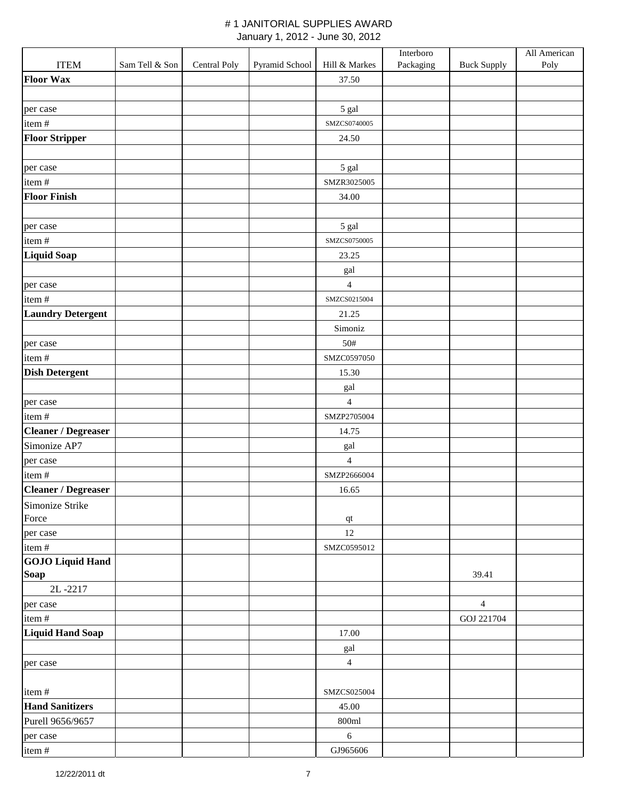|                            |                |              |                |                | Interboro |                    | All American |
|----------------------------|----------------|--------------|----------------|----------------|-----------|--------------------|--------------|
| <b>ITEM</b>                | Sam Tell & Son | Central Poly | Pyramid School | Hill & Markes  | Packaging | <b>Buck Supply</b> | Poly         |
| <b>Floor Wax</b>           |                |              |                | 37.50          |           |                    |              |
|                            |                |              |                |                |           |                    |              |
| per case                   |                |              |                | 5 gal          |           |                    |              |
| item#                      |                |              |                | SMZCS0740005   |           |                    |              |
| <b>Floor Stripper</b>      |                |              |                | 24.50          |           |                    |              |
|                            |                |              |                |                |           |                    |              |
| per case                   |                |              |                | 5 gal          |           |                    |              |
| item#                      |                |              |                | SMZR3025005    |           |                    |              |
| <b>Floor Finish</b>        |                |              |                | 34.00          |           |                    |              |
|                            |                |              |                |                |           |                    |              |
| per case                   |                |              |                | 5 gal          |           |                    |              |
| item#                      |                |              |                | SMZCS0750005   |           |                    |              |
| <b>Liquid Soap</b>         |                |              |                | 23.25          |           |                    |              |
|                            |                |              |                | gal            |           |                    |              |
| per case                   |                |              |                | 4              |           |                    |              |
| item#                      |                |              |                | SMZCS0215004   |           |                    |              |
| <b>Laundry Detergent</b>   |                |              |                | 21.25          |           |                    |              |
|                            |                |              |                | Simoniz        |           |                    |              |
| per case                   |                |              |                | 50#            |           |                    |              |
| item#                      |                |              |                | SMZC0597050    |           |                    |              |
| <b>Dish Detergent</b>      |                |              |                | 15.30          |           |                    |              |
|                            |                |              |                | gal            |           |                    |              |
| per case                   |                |              |                | $\overline{4}$ |           |                    |              |
| item#                      |                |              |                | SMZP2705004    |           |                    |              |
| <b>Cleaner / Degreaser</b> |                |              |                | 14.75          |           |                    |              |
| Simonize AP7               |                |              |                | gal            |           |                    |              |
| per case                   |                |              |                | $\overline{4}$ |           |                    |              |
| item#                      |                |              |                | SMZP2666004    |           |                    |              |
| <b>Cleaner / Degreaser</b> |                |              |                | 16.65          |           |                    |              |
| Simonize Strike            |                |              |                |                |           |                    |              |
| Force                      |                |              |                | $\bf qt$       |           |                    |              |
| per case                   |                |              |                | 12             |           |                    |              |
| item#                      |                |              |                | SMZC0595012    |           |                    |              |
| <b>GOJO</b> Liquid Hand    |                |              |                |                |           |                    |              |
| <b>Soap</b>                |                |              |                |                |           | 39.41              |              |
| 2L-2217                    |                |              |                |                |           |                    |              |
| per case                   |                |              |                |                |           | $\overline{4}$     |              |
| item#                      |                |              |                |                |           | GOJ 221704         |              |
| <b>Liquid Hand Soap</b>    |                |              |                | 17.00          |           |                    |              |
|                            |                |              |                | gal            |           |                    |              |
| per case                   |                |              |                | $\overline{4}$ |           |                    |              |
|                            |                |              |                |                |           |                    |              |
| item#                      |                |              |                | SMZCS025004    |           |                    |              |
| <b>Hand Sanitizers</b>     |                |              |                | 45.00          |           |                    |              |
| Purell 9656/9657           |                |              |                | 800ml          |           |                    |              |
| per case                   |                |              |                | $6\,$          |           |                    |              |
| item#                      |                |              |                | GJ965606       |           |                    |              |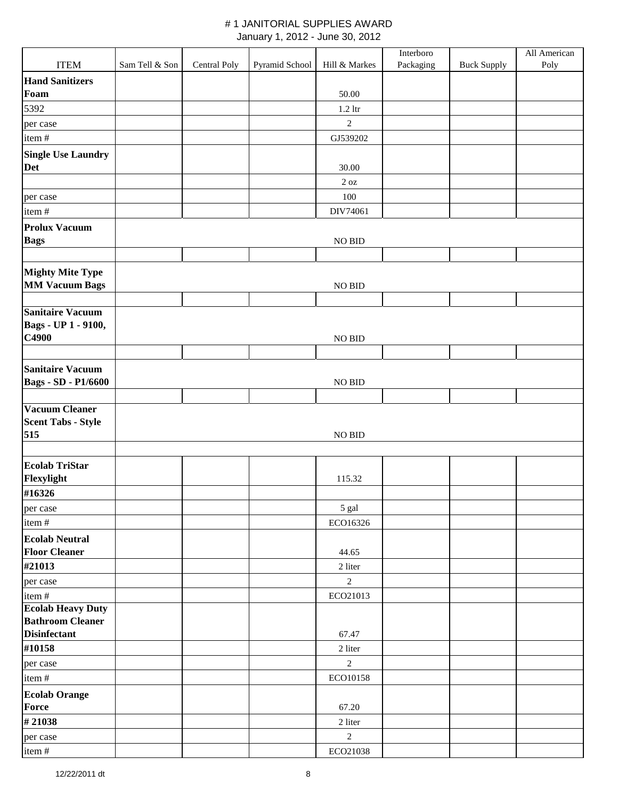|                            |                |              |                |                | Interboro |                    | All American |
|----------------------------|----------------|--------------|----------------|----------------|-----------|--------------------|--------------|
| <b>ITEM</b>                | Sam Tell & Son | Central Poly | Pyramid School | Hill & Markes  | Packaging | <b>Buck Supply</b> | Poly         |
| <b>Hand Sanitizers</b>     |                |              |                |                |           |                    |              |
| Foam                       |                |              |                | 50.00          |           |                    |              |
| 5392                       |                |              |                | $1.2$ ltr      |           |                    |              |
| per case                   |                |              |                | $\overline{2}$ |           |                    |              |
| item#                      |                |              |                | GJ539202       |           |                    |              |
| <b>Single Use Laundry</b>  |                |              |                |                |           |                    |              |
| Det                        |                |              |                | 30.00          |           |                    |              |
|                            |                |              |                | 2 oz           |           |                    |              |
| per case                   |                |              |                | 100            |           |                    |              |
| item#                      |                |              |                | DIV74061       |           |                    |              |
| <b>Prolux Vacuum</b>       |                |              |                |                |           |                    |              |
| <b>Bags</b>                |                |              |                | NO BID         |           |                    |              |
|                            |                |              |                |                |           |                    |              |
| <b>Mighty Mite Type</b>    |                |              |                |                |           |                    |              |
| <b>MM Vacuum Bags</b>      |                |              |                | $NO$ $BID$     |           |                    |              |
|                            |                |              |                |                |           |                    |              |
| <b>Sanitaire Vacuum</b>    |                |              |                |                |           |                    |              |
| Bags - UP 1 - 9100,        |                |              |                |                |           |                    |              |
| C4900                      |                |              |                | <b>NO BID</b>  |           |                    |              |
|                            |                |              |                |                |           |                    |              |
| <b>Sanitaire Vacuum</b>    |                |              |                |                |           |                    |              |
| <b>Bags - SD - P1/6600</b> |                |              |                | $NO$ $BID$     |           |                    |              |
| <b>Vacuum Cleaner</b>      |                |              |                |                |           |                    |              |
| <b>Scent Tabs - Style</b>  |                |              |                |                |           |                    |              |
| 515                        |                |              |                | NO BID         |           |                    |              |
|                            |                |              |                |                |           |                    |              |
| <b>Ecolab TriStar</b>      |                |              |                |                |           |                    |              |
| Flexylight                 |                |              |                | 115.32         |           |                    |              |
| #16326                     |                |              |                |                |           |                    |              |
| per case                   |                |              |                | 5 gal          |           |                    |              |
| item#                      |                |              |                | ECO16326       |           |                    |              |
| <b>Ecolab Neutral</b>      |                |              |                |                |           |                    |              |
| <b>Floor Cleaner</b>       |                |              |                | 44.65          |           |                    |              |
| #21013                     |                |              |                | 2 liter        |           |                    |              |
| per case                   |                |              |                | 2              |           |                    |              |
| item#                      |                |              |                | ECO21013       |           |                    |              |
| <b>Ecolab Heavy Duty</b>   |                |              |                |                |           |                    |              |
| <b>Bathroom Cleaner</b>    |                |              |                |                |           |                    |              |
| <b>Disinfectant</b>        |                |              |                | 67.47          |           |                    |              |
| #10158                     |                |              |                | 2 liter        |           |                    |              |
| per case                   |                |              |                | $\overline{2}$ |           |                    |              |
| item#                      |                |              |                | ECO10158       |           |                    |              |
| <b>Ecolab Orange</b>       |                |              |                |                |           |                    |              |
| Force                      |                |              |                | 67.20          |           |                    |              |
| #21038                     |                |              |                | 2 liter        |           |                    |              |
| per case                   |                |              |                | $\sqrt{2}$     |           |                    |              |
| item#                      |                |              |                | ECO21038       |           |                    |              |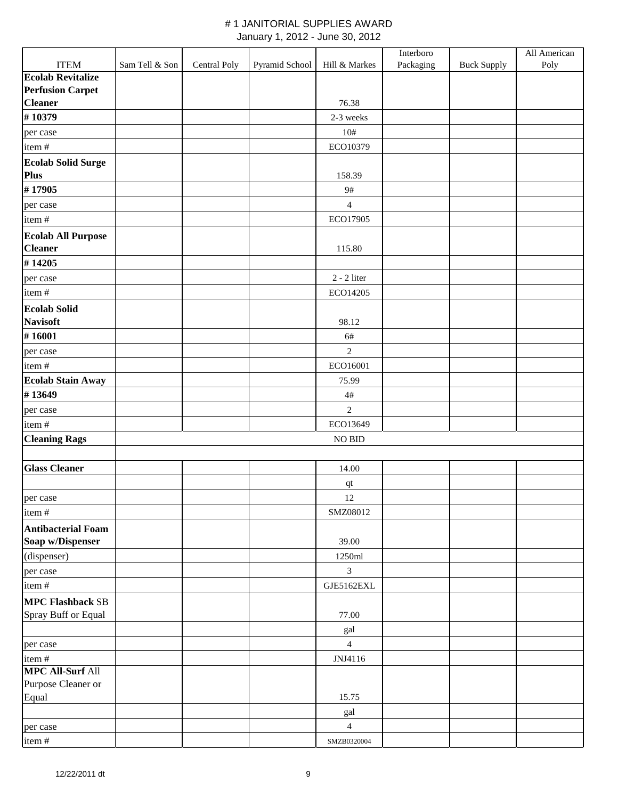|                                               |                |              |                |                | Interboro |                    | All American |
|-----------------------------------------------|----------------|--------------|----------------|----------------|-----------|--------------------|--------------|
| <b>ITEM</b>                                   | Sam Tell & Son | Central Poly | Pyramid School | Hill & Markes  | Packaging | <b>Buck Supply</b> | Poly         |
| <b>Ecolab Revitalize</b>                      |                |              |                |                |           |                    |              |
| <b>Perfusion Carpet</b>                       |                |              |                |                |           |                    |              |
| <b>Cleaner</b>                                |                |              |                | 76.38          |           |                    |              |
| #10379                                        |                |              |                | 2-3 weeks      |           |                    |              |
| per case                                      |                |              |                | $10#$          |           |                    |              |
| item#                                         |                |              |                | ECO10379       |           |                    |              |
| <b>Ecolab Solid Surge</b><br>Plus             |                |              |                | 158.39         |           |                    |              |
| #17905                                        |                |              |                | 9#             |           |                    |              |
| per case                                      |                |              |                | $\overline{4}$ |           |                    |              |
| item#                                         |                |              |                | ECO17905       |           |                    |              |
|                                               |                |              |                |                |           |                    |              |
| <b>Ecolab All Purpose</b><br><b>Cleaner</b>   |                |              |                | 115.80         |           |                    |              |
| #14205                                        |                |              |                |                |           |                    |              |
| per case                                      |                |              |                | $2 - 2$ liter  |           |                    |              |
| item#                                         |                |              |                | ECO14205       |           |                    |              |
| <b>Ecolab Solid</b><br><b>Navisoft</b>        |                |              |                | 98.12          |           |                    |              |
| #16001                                        |                |              |                | 6#             |           |                    |              |
|                                               |                |              |                | $\overline{2}$ |           |                    |              |
| per case<br>item#                             |                |              |                | ECO16001       |           |                    |              |
| <b>Ecolab Stain Away</b>                      |                |              |                | 75.99          |           |                    |              |
| #13649                                        |                |              |                | $4\#$          |           |                    |              |
|                                               |                |              |                |                |           |                    |              |
| per case                                      |                |              |                | $\sqrt{2}$     |           |                    |              |
| item#                                         |                |              |                | ECO13649       |           |                    |              |
| <b>Cleaning Rags</b>                          |                |              |                | <b>NO BID</b>  |           |                    |              |
| <b>Glass Cleaner</b>                          |                |              |                | 14.00          |           |                    |              |
|                                               |                |              |                |                |           |                    |              |
|                                               |                |              |                | $\bf qt$<br>12 |           |                    |              |
| per case<br>item#                             |                |              |                | SMZ08012       |           |                    |              |
|                                               |                |              |                |                |           |                    |              |
| <b>Antibacterial Foam</b><br>Soap w/Dispenser |                |              |                | 39.00          |           |                    |              |
| (dispenser)                                   |                |              |                | 1250ml         |           |                    |              |
| per case                                      |                |              |                | $\overline{3}$ |           |                    |              |
| item#                                         |                |              |                | GJE5162EXL     |           |                    |              |
| <b>MPC Flashback SB</b>                       |                |              |                |                |           |                    |              |
| Spray Buff or Equal                           |                |              |                | 77.00          |           |                    |              |
|                                               |                |              |                | gal            |           |                    |              |
| per case                                      |                |              |                | $\overline{4}$ |           |                    |              |
| item#                                         |                |              |                | JNJ4116        |           |                    |              |
| <b>MPC All-Surf All</b>                       |                |              |                |                |           |                    |              |
| Purpose Cleaner or                            |                |              |                |                |           |                    |              |
| Equal                                         |                |              |                | 15.75          |           |                    |              |
|                                               |                |              |                | gal            |           |                    |              |
| per case                                      |                |              |                | $\overline{4}$ |           |                    |              |
| item#                                         |                |              |                | SMZB0320004    |           |                    |              |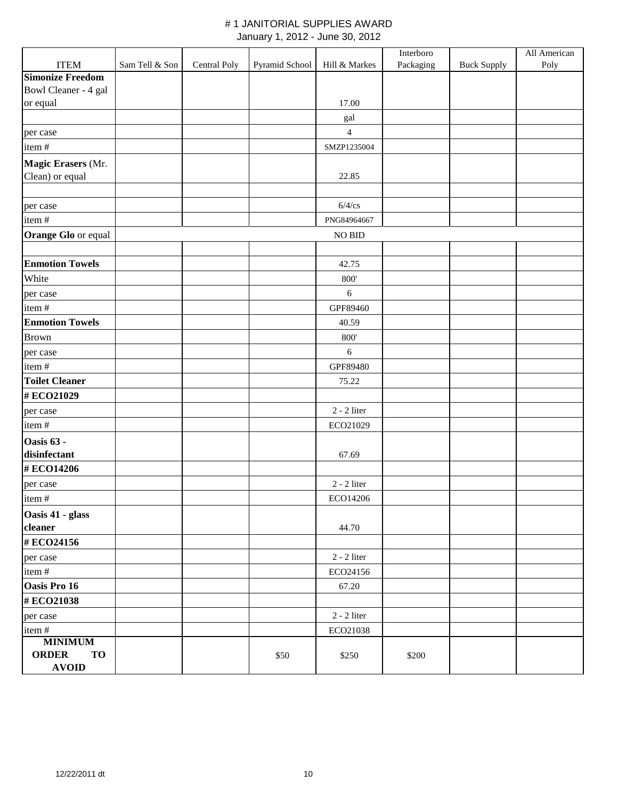|                           |                |              |                |                  | Interboro |                    | All American |
|---------------------------|----------------|--------------|----------------|------------------|-----------|--------------------|--------------|
| <b>ITEM</b>               | Sam Tell & Son | Central Poly | Pyramid School | Hill & Markes    | Packaging | <b>Buck Supply</b> | Poly         |
| <b>Simonize Freedom</b>   |                |              |                |                  |           |                    |              |
| Bowl Cleaner - 4 gal      |                |              |                |                  |           |                    |              |
| or equal                  |                |              |                | 17.00            |           |                    |              |
|                           |                |              |                | gal              |           |                    |              |
| per case                  |                |              |                | $\overline{4}$   |           |                    |              |
| item#                     |                |              |                | SMZP1235004      |           |                    |              |
| Magic Erasers (Mr.        |                |              |                |                  |           |                    |              |
| Clean) or equal           |                |              |                | 22.85            |           |                    |              |
|                           |                |              |                |                  |           |                    |              |
| per case                  |                |              |                | $6/4$ /cs        |           |                    |              |
| item#                     |                |              |                | PNG84964667      |           |                    |              |
| Orange Glo or equal       |                |              |                | NO BID           |           |                    |              |
|                           |                |              |                |                  |           |                    |              |
| <b>Enmotion Towels</b>    |                |              |                | 42.75            |           |                    |              |
| White                     |                |              |                | 800'             |           |                    |              |
| per case                  |                |              |                | 6                |           |                    |              |
| item#                     |                |              |                | GPF89460         |           |                    |              |
| <b>Enmotion Towels</b>    |                |              |                | 40.59            |           |                    |              |
| <b>Brown</b>              |                |              |                | 800'             |           |                    |              |
| per case                  |                |              |                | $\boldsymbol{6}$ |           |                    |              |
| item#                     |                |              |                | GPF89480         |           |                    |              |
| <b>Toilet Cleaner</b>     |                |              |                | 75.22            |           |                    |              |
| #ECO21029                 |                |              |                |                  |           |                    |              |
| per case                  |                |              |                | $2 - 2$ liter    |           |                    |              |
| item#                     |                |              |                | ECO21029         |           |                    |              |
| Oasis 63 -                |                |              |                |                  |           |                    |              |
| disinfectant              |                |              |                | 67.69            |           |                    |              |
| #ECO14206                 |                |              |                |                  |           |                    |              |
| per case                  |                |              |                | $2 - 2$ liter    |           |                    |              |
| item#                     |                |              |                | ECO14206         |           |                    |              |
| Oasis 41 - glass          |                |              |                |                  |           |                    |              |
| cleaner                   |                |              |                | 44.70            |           |                    |              |
| #ECO24156                 |                |              |                |                  |           |                    |              |
| per case                  |                |              |                | $2 - 2$ liter    |           |                    |              |
| item#                     |                |              |                | ECO24156         |           |                    |              |
| Oasis Pro 16              |                |              |                | 67.20            |           |                    |              |
| #ECO21038                 |                |              |                |                  |           |                    |              |
| per case                  |                |              |                | $2 - 2$ liter    |           |                    |              |
| item#                     |                |              |                | ECO21038         |           |                    |              |
| <b>MINIMUM</b>            |                |              |                |                  |           |                    |              |
| <b>ORDER</b><br><b>TO</b> |                |              | \$50           | \$250            | \$200     |                    |              |
| <b>AVOID</b>              |                |              |                |                  |           |                    |              |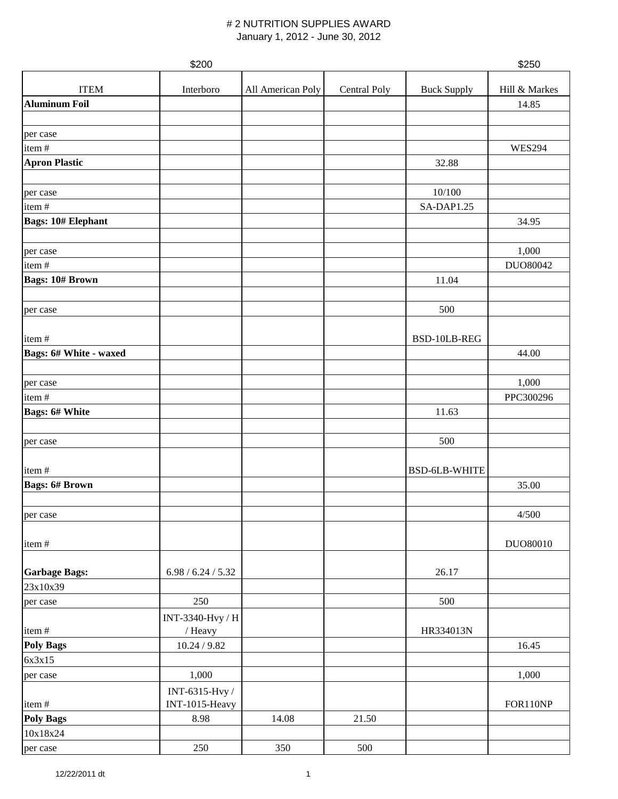#### # 2 NUTRITION SUPPLIES AWARD January 1, 2012 - June 30, 2012

|                           | \$200              |                   |              |                      | \$250         |
|---------------------------|--------------------|-------------------|--------------|----------------------|---------------|
| <b>ITEM</b>               | Interboro          | All American Poly | Central Poly | <b>Buck Supply</b>   | Hill & Markes |
| <b>Aluminum Foil</b>      |                    |                   |              |                      | 14.85         |
|                           |                    |                   |              |                      |               |
| per case                  |                    |                   |              |                      |               |
| item#                     |                    |                   |              |                      | <b>WES294</b> |
| <b>Apron Plastic</b>      |                    |                   |              | 32.88                |               |
|                           |                    |                   |              |                      |               |
| per case                  |                    |                   |              | 10/100               |               |
| item#                     |                    |                   |              | SA-DAP1.25           |               |
| <b>Bags: 10# Elephant</b> |                    |                   |              |                      | 34.95         |
| per case                  |                    |                   |              |                      | 1,000         |
| item#                     |                    |                   |              |                      | DUO80042      |
| <b>Bags: 10# Brown</b>    |                    |                   |              | 11.04                |               |
|                           |                    |                   |              |                      |               |
| per case                  |                    |                   |              | 500                  |               |
|                           |                    |                   |              |                      |               |
| item#                     |                    |                   |              | BSD-10LB-REG         |               |
| Bags: 6# White - waxed    |                    |                   |              |                      | 44.00         |
|                           |                    |                   |              |                      |               |
| per case                  |                    |                   |              |                      | 1,000         |
| item#                     |                    |                   |              |                      | PPC300296     |
| <b>Bags: 6# White</b>     |                    |                   |              | 11.63                |               |
|                           |                    |                   |              |                      |               |
| per case                  |                    |                   |              | 500                  |               |
|                           |                    |                   |              |                      |               |
| item#                     |                    |                   |              | <b>BSD-6LB-WHITE</b> |               |
| <b>Bags: 6# Brown</b>     |                    |                   |              |                      | 35.00         |
|                           |                    |                   |              |                      | 4/500         |
| per case                  |                    |                   |              |                      |               |
| item#                     |                    |                   |              |                      | DUO80010      |
|                           |                    |                   |              |                      |               |
| <b>Garbage Bags:</b>      | 6.98 / 6.24 / 5.32 |                   |              | 26.17                |               |
| 23x10x39                  |                    |                   |              |                      |               |
| per case                  | 250                |                   |              | 500                  |               |
|                           | INT-3340-Hvy / H   |                   |              |                      |               |
| item#                     | / Heavy            |                   |              | HR334013N            |               |
| <b>Poly Bags</b>          | 10.24 / 9.82       |                   |              |                      | 16.45         |
| 6x3x15                    |                    |                   |              |                      |               |
| per case                  | 1,000              |                   |              |                      | 1,000         |
|                           | INT-6315-Hvy /     |                   |              |                      |               |
| item#                     | INT-1015-Heavy     |                   |              |                      | FOR110NP      |
| <b>Poly Bags</b>          | 8.98               | 14.08             | 21.50        |                      |               |
| 10x18x24                  |                    |                   |              |                      |               |
| per case                  | 250                | 350               | 500          |                      |               |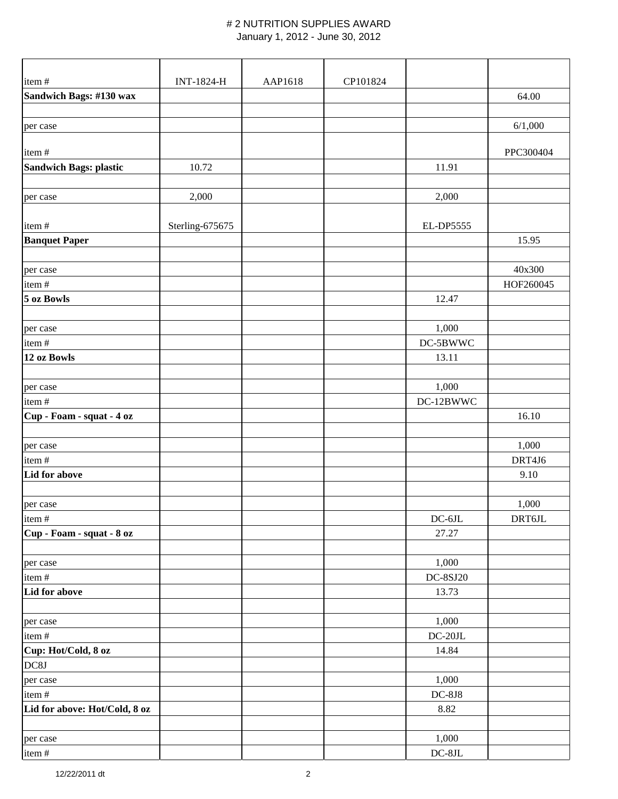#### # 2 NUTRITION SUPPLIES AWARD January 1, 2012 - June 30, 2012

| item#                         | <b>INT-1824-H</b> | AAP1618 | CP101824 |                 |           |
|-------------------------------|-------------------|---------|----------|-----------------|-----------|
| Sandwich Bags: #130 wax       |                   |         |          |                 | 64.00     |
|                               |                   |         |          |                 |           |
| per case                      |                   |         |          |                 | 6/1,000   |
|                               |                   |         |          |                 |           |
| item#                         |                   |         |          |                 | PPC300404 |
| <b>Sandwich Bags: plastic</b> | 10.72             |         |          | 11.91           |           |
|                               |                   |         |          |                 |           |
| per case                      | 2,000             |         |          | 2,000           |           |
|                               |                   |         |          |                 |           |
| item#                         | Sterling-675675   |         |          | EL-DP5555       |           |
| <b>Banquet Paper</b>          |                   |         |          |                 | 15.95     |
| per case                      |                   |         |          |                 | 40x300    |
| item#                         |                   |         |          |                 | HOF260045 |
| 5 oz Bowls                    |                   |         |          | 12.47           |           |
|                               |                   |         |          |                 |           |
| per case                      |                   |         |          | 1,000           |           |
| item#                         |                   |         |          | DC-5BWWC        |           |
| 12 oz Bowls                   |                   |         |          | 13.11           |           |
|                               |                   |         |          |                 |           |
| per case                      |                   |         |          | 1,000           |           |
| item#                         |                   |         |          | DC-12BWWC       |           |
| Cup - Foam - squat - 4 oz     |                   |         |          |                 | 16.10     |
|                               |                   |         |          |                 |           |
| per case                      |                   |         |          |                 | 1,000     |
| item#                         |                   |         |          |                 | DRT4J6    |
| Lid for above                 |                   |         |          |                 | 9.10      |
|                               |                   |         |          |                 |           |
| per case                      |                   |         |          |                 | 1,000     |
| item#                         |                   |         |          | $DC-6JL$        | DRT6JL    |
| Cup - Foam - squat - 8 oz     |                   |         |          | 27.27           |           |
|                               |                   |         |          |                 |           |
| per case                      |                   |         |          | 1,000           |           |
| item#                         |                   |         |          | <b>DC-8SJ20</b> |           |
| Lid for above                 |                   |         |          | 13.73           |           |
|                               |                   |         |          |                 |           |
| per case                      |                   |         |          | 1,000           |           |
| item#                         |                   |         |          | $DC-20JL$       |           |
| Cup: Hot/Cold, 8 oz           |                   |         |          | 14.84           |           |
| DC8J                          |                   |         |          |                 |           |
| per case                      |                   |         |          | 1,000           |           |
| item#                         |                   |         |          | $DC-8J8$        |           |
| Lid for above: Hot/Cold, 8 oz |                   |         |          | 8.82            |           |
|                               |                   |         |          | 1,000           |           |
| per case<br>item#             |                   |         |          | $DC-8JL$        |           |
|                               |                   |         |          |                 |           |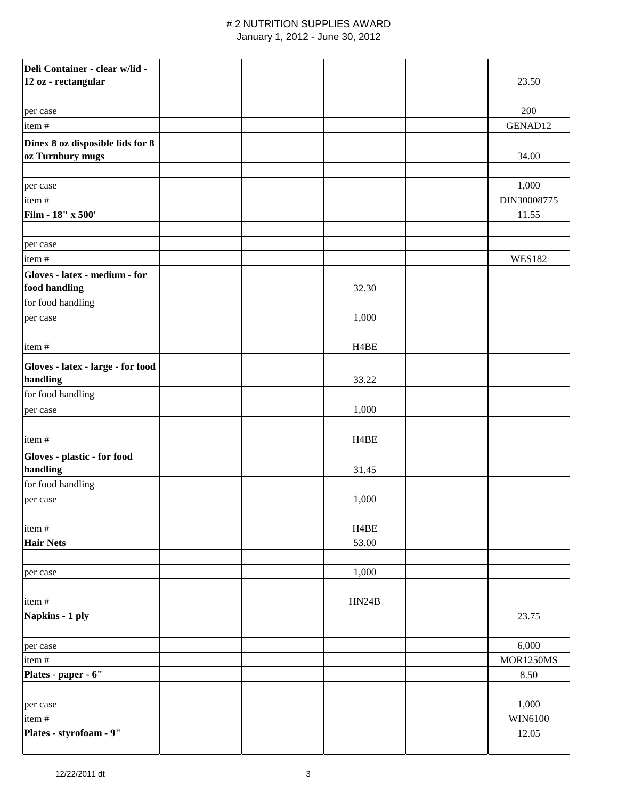### # 2 NUTRITION SUPPLIES AWARD

January 1, 2012 - June 30, 2012

| Deli Container - clear w/lid -<br>12 oz - rectangular |  |                   | 23.50            |
|-------------------------------------------------------|--|-------------------|------------------|
| per case                                              |  |                   | 200              |
| item#                                                 |  |                   | GENAD12          |
| Dinex 8 oz disposible lids for 8<br>oz Turnbury mugs  |  |                   | 34.00            |
| per case                                              |  |                   | 1,000            |
| item#                                                 |  |                   | DIN30008775      |
| Film - 18" x 500'                                     |  |                   | 11.55            |
|                                                       |  |                   |                  |
| per case                                              |  |                   |                  |
| item#                                                 |  |                   | <b>WES182</b>    |
| Gloves - latex - medium - for<br>food handling        |  | 32.30             |                  |
| for food handling                                     |  |                   |                  |
| per case                                              |  | 1,000             |                  |
| item#                                                 |  | H <sub>4</sub> BE |                  |
| Gloves - latex - large - for food<br>handling         |  | 33.22             |                  |
| for food handling                                     |  |                   |                  |
| per case                                              |  | 1,000             |                  |
| item#                                                 |  | H <sub>4</sub> BE |                  |
| Gloves - plastic - for food                           |  |                   |                  |
| handling                                              |  | 31.45             |                  |
| for food handling                                     |  |                   |                  |
| per case                                              |  | 1,000             |                  |
| item#                                                 |  | H <sub>4</sub> BE |                  |
| <b>Hair Nets</b>                                      |  | 53.00             |                  |
|                                                       |  |                   |                  |
| per case                                              |  | 1,000             |                  |
| item#                                                 |  | HN24B             |                  |
| Napkins - 1 ply                                       |  |                   | 23.75            |
|                                                       |  |                   |                  |
| per case                                              |  |                   | 6,000            |
| item#                                                 |  |                   | <b>MOR1250MS</b> |
| Plates - paper - 6"                                   |  |                   | 8.50             |
|                                                       |  |                   |                  |
| per case                                              |  |                   | 1,000            |
| item#                                                 |  |                   | WIN6100          |
| Plates - styrofoam - 9"                               |  |                   | 12.05            |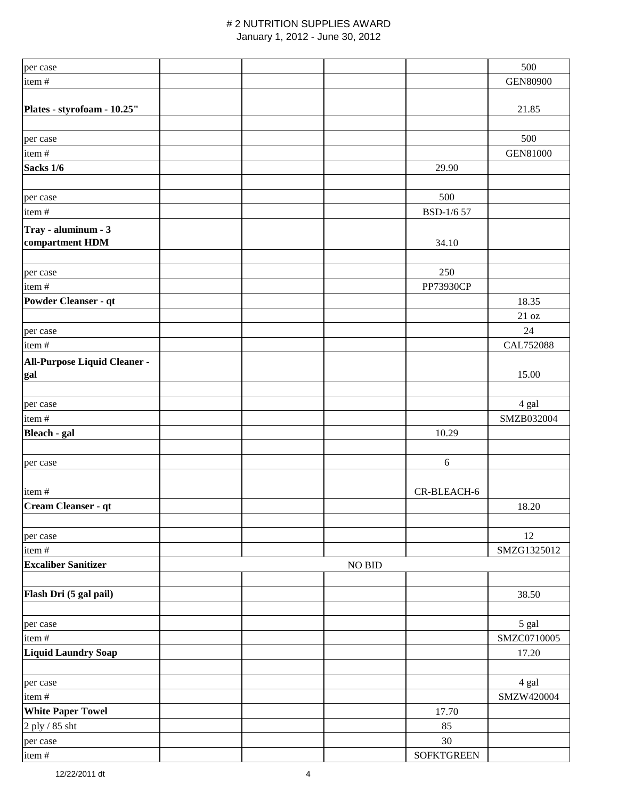# # 2 NUTRITION SUPPLIES AWARD

| January 1, 2012 - June 30, 2012 |
|---------------------------------|
|                                 |

| per case                     |  |        |                   | 500             |
|------------------------------|--|--------|-------------------|-----------------|
| item#                        |  |        |                   | <b>GEN80900</b> |
|                              |  |        |                   |                 |
| Plates - styrofoam - 10.25"  |  |        |                   | 21.85           |
|                              |  |        |                   |                 |
| per case                     |  |        |                   | 500             |
| item#                        |  |        |                   | <b>GEN81000</b> |
| Sacks 1/6                    |  |        | 29.90             |                 |
|                              |  |        |                   |                 |
| per case                     |  |        | 500               |                 |
| item#                        |  |        | BSD-1/6 57        |                 |
| Tray - aluminum - 3          |  |        |                   |                 |
| compartment HDM              |  |        | 34.10             |                 |
|                              |  |        |                   |                 |
| per case                     |  |        | 250               |                 |
| item#                        |  |        | PP73930CP         |                 |
| Powder Cleanser - qt         |  |        |                   | 18.35           |
|                              |  |        |                   | 21 oz           |
| per case                     |  |        |                   | 24              |
| item#                        |  |        |                   | CAL752088       |
| All-Purpose Liquid Cleaner - |  |        |                   |                 |
| gal                          |  |        |                   | 15.00           |
|                              |  |        |                   |                 |
| per case                     |  |        |                   | 4 gal           |
| item#                        |  |        |                   | SMZB032004      |
| Bleach - gal                 |  |        | 10.29             |                 |
|                              |  |        |                   |                 |
| per case                     |  |        | 6                 |                 |
|                              |  |        |                   |                 |
| item#                        |  |        | CR-BLEACH-6       |                 |
| Cream Cleanser - qt          |  |        |                   | 18.20           |
|                              |  |        |                   |                 |
|                              |  |        |                   | 12              |
| per case<br>item#            |  |        |                   | SMZG1325012     |
| <b>Excaliber Sanitizer</b>   |  | NO BID |                   |                 |
|                              |  |        |                   |                 |
| Flash Dri (5 gal pail)       |  |        |                   | 38.50           |
|                              |  |        |                   |                 |
|                              |  |        |                   | 5 gal           |
| per case<br>item#            |  |        |                   | SMZC0710005     |
| <b>Liquid Laundry Soap</b>   |  |        |                   | 17.20           |
|                              |  |        |                   |                 |
|                              |  |        |                   |                 |
| per case                     |  |        |                   | 4 gal           |
| item#                        |  |        |                   | SMZW420004      |
| <b>White Paper Towel</b>     |  |        | 17.70             |                 |
| 2 ply / 85 sht               |  |        | 85                |                 |
| per case                     |  |        | $30\,$            |                 |
| item#                        |  |        | <b>SOFKTGREEN</b> |                 |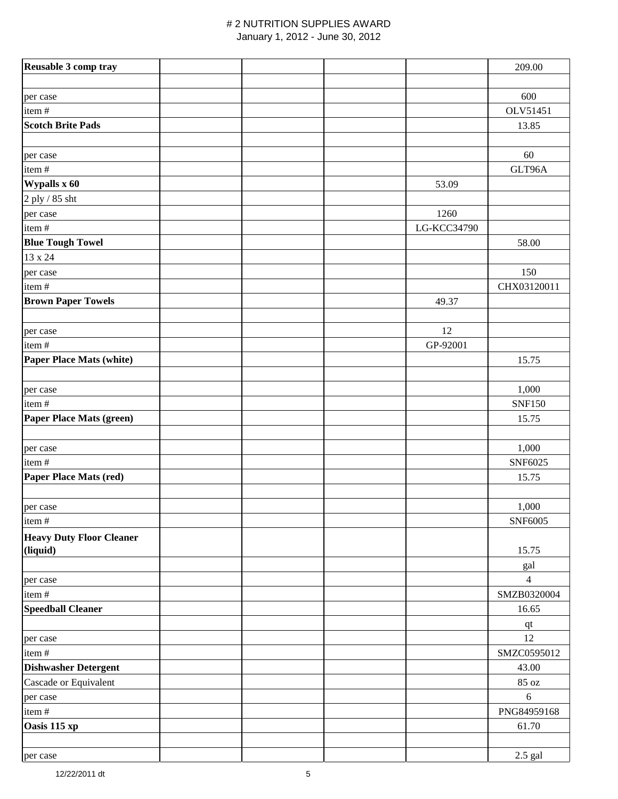## # 2 NUTRITION SUPPLIES AWARD

January 1, 2012 - June 30, 2012

| Reusable 3 comp tray            |  |             | 209.00         |
|---------------------------------|--|-------------|----------------|
|                                 |  |             |                |
| per case                        |  |             | 600            |
| item#                           |  |             | OLV51451       |
| <b>Scotch Brite Pads</b>        |  |             | 13.85          |
|                                 |  |             |                |
| per case                        |  |             | 60             |
| item#                           |  |             | GLT96A         |
| Wypalls x 60                    |  | 53.09       |                |
|                                 |  |             |                |
| 2 ply / 85 sht                  |  |             |                |
| per case                        |  | 1260        |                |
| item#                           |  | LG-KCC34790 |                |
| <b>Blue Tough Towel</b>         |  |             | 58.00          |
| 13 x 24                         |  |             |                |
| per case                        |  |             | 150            |
| item#                           |  |             | CHX03120011    |
| <b>Brown Paper Towels</b>       |  | 49.37       |                |
|                                 |  |             |                |
| per case                        |  | 12          |                |
| item#                           |  | GP-92001    |                |
| <b>Paper Place Mats (white)</b> |  |             | 15.75          |
|                                 |  |             |                |
| per case                        |  |             | 1,000          |
| item#                           |  |             | <b>SNF150</b>  |
| Paper Place Mats (green)        |  |             | 15.75          |
|                                 |  |             |                |
| per case                        |  |             | 1,000          |
| item#                           |  |             | SNF6025        |
| <b>Paper Place Mats (red)</b>   |  |             | 15.75          |
|                                 |  |             |                |
| per case                        |  |             | 1,000          |
| item#                           |  |             | SNF6005        |
| <b>Heavy Duty Floor Cleaner</b> |  |             |                |
| (liquid)                        |  |             | 15.75          |
|                                 |  |             | gal            |
| per case                        |  |             | $\overline{4}$ |
| item#                           |  |             | SMZB0320004    |
| <b>Speedball Cleaner</b>        |  |             | 16.65          |
|                                 |  |             | $q$ t          |
| per case                        |  |             | 12             |
| item#                           |  |             | SMZC0595012    |
| <b>Dishwasher Detergent</b>     |  |             | 43.00          |
| Cascade or Equivalent           |  |             | 85 oz          |
|                                 |  |             | $\sqrt{6}$     |
| per case<br>item#               |  |             | PNG84959168    |
| Oasis 115 xp                    |  |             | 61.70          |
|                                 |  |             |                |
|                                 |  |             |                |
| per case                        |  |             | $2.5$ gal      |